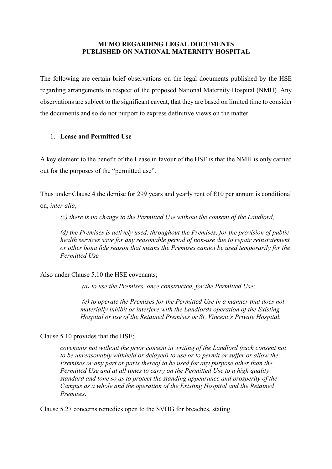#### **MEMO REGARDING LEGAL DOCUMENTS PUBLISHED ON NATIONAL MATERNITY HOSPITAL**

The following are certain brief observations on the legal documents published by the HSE regarding arrangements in respect of the proposed National Maternity Hospital (NMH). Any observations are subject to the significant caveat, that they are based on limited time to consider the documents and so do not purport to express definitive views on the matter.

## 1. **Lease and Permitted Use**

A key element to the benefit of the Lease in favour of the HSE is that the NMH is only carried out for the purposes of the "permitted use".

Thus under Clause 4 the demise for 299 years and yearly rent of  $\epsilon$ 10 per annum is conditional on, *inter alia*,

*(c) there is no change to the Permitted Use without the consent of the Landlord;* 

*(d) the Premises is actively used, throughout the Premises, for the provision of public health services save for any reasonable period of non-use due to repair reinstatement or other bona fide reason that means the Premises cannot be used temporarily for the Permitted Use*

Also under Clause 5.10 the HSE covenants;

*(a) to use the Premises, once constructed, for the Permitted Use;* 

*(e) to operate the Premises for the Permitted Use in a manner that does not materially inhibit or interfere with the Landlords operation of the Existing Hospital or use of the Retained Premises or St. Vincent's Private Hospital.* 

Clause 5.10 provides that the HSE;

*covenants not without the prior consent in writing of the Landlord (such consent not to be unreasonably withheld or delayed) to use or to permit or suffer or allow the Premises or any part or parts thereof to be used for any purpose other than the Permitted Use and at all times to carry on the Permitted Use to a high quality standard and tone so as to protect the standing appearance and prosperity of the Campus as a whole and the operation of the Existing Hospital and the Retained Premises*.

Clause 5.27 concerns remedies open to the SVHG for breaches, stating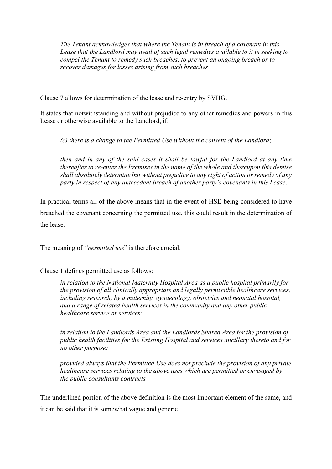*The Tenant acknowledges that where the Tenant is in breach of a covenant in this Lease that the Landlord may avail of such legal remedies available to it in seeking to compel the Tenant to remedy such breaches, to prevent an ongoing breach or to recover damages for losses arising from such breaches* 

Clause 7 allows for determination of the lease and re-entry by SVHG.

It states that notwithstanding and without prejudice to any other remedies and powers in this Lease or otherwise available to the Landlord, if:

*(c) there is a change to the Permitted Use without the consent of the Landlord*;

*then and in any of the said cases it shall be lawful for the Landlord at any time thereafter to re-enter the Premises in the name of the whole and thereupon this demise shall absolutely determine but without prejudice to any right of action or remedy of any party in respect of any antecedent breach of another party's covenants in this Lease*.

In practical terms all of the above means that in the event of HSE being considered to have breached the covenant concerning the permitted use, this could result in the determination of the lease.

The meaning of *"permitted use*" is therefore crucial.

Clause 1 defines permitted use as follows:

*in relation to the National Maternity Hospital Area as a public hospital primarily for the provision of all clinically appropriate and legally permissible healthcare services, including research, by a maternity, gynaecology, obstetrics and neonatal hospital, and a range of related health services in the community and any other public healthcare service or services;*

*in relation to the Landlords Area and the Landlords Shared Area for the provision of public health facilities for the Existing Hospital and services ancillary thereto and for no other purpose;* 

*provided always that the Permitted Use does not preclude the provision of any private healthcare services relating to the above uses which are permitted or envisaged by the public consultants contracts* 

The underlined portion of the above definition is the most important element of the same, and it can be said that it is somewhat vague and generic.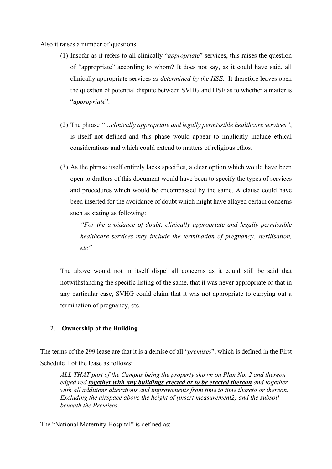Also it raises a number of questions:

- (1) Insofar as it refers to all clinically "*appropriate*" services, this raises the question of "appropriate" according to whom? It does not say, as it could have said, all clinically appropriate services *as determined by the HSE*. It therefore leaves open the question of potential dispute between SVHG and HSE as to whether a matter is "*appropriate*".
- (2) The phrase *"…clinically appropriate and legally permissible healthcare services"*, is itself not defined and this phase would appear to implicitly include ethical considerations and which could extend to matters of religious ethos.
- (3) As the phrase itself entirely lacks specifics, a clear option which would have been open to drafters of this document would have been to specify the types of services and procedures which would be encompassed by the same. A clause could have been inserted for the avoidance of doubt which might have allayed certain concerns such as stating as following:

*"For the avoidance of doubt, clinically appropriate and legally permissible healthcare services may include the termination of pregnancy, sterilisation, etc"*

The above would not in itself dispel all concerns as it could still be said that notwithstanding the specific listing of the same, that it was never appropriate or that in any particular case, SVHG could claim that it was not appropriate to carrying out a termination of pregnancy, etc.

# 2. **Ownership of the Building**

The terms of the 299 lease are that it is a demise of all "*premises*", which is defined in the First Schedule 1 of the lease as follows:

*ALL THAT part of the Campus being the property shown on Plan No. 2 and thereon edged red together with any buildings erected or to be erected thereon and together with all additions alterations and improvements from time to time thereto or thereon. Excluding the airspace above the height of (insert measurement2) and the subsoil beneath the Premises*.

The "National Maternity Hospital" is defined as: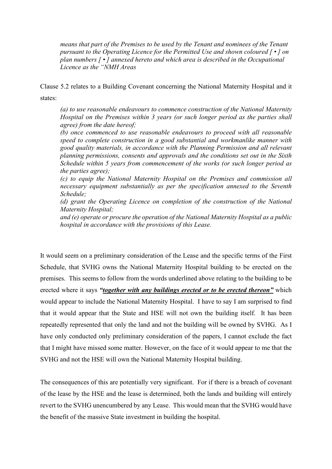*means that part of the Premises to be used by the Tenant and nominees of the Tenant pursuant to the Operating Licence for the Permitted Use and shown coloured [ • ] on plan numbers [ • ] annexed hereto and which area is described in the Occupational Licence as the "NMH Areas*

Clause 5.2 relates to a Building Covenant concerning the National Maternity Hospital and it states:

*(a) to use reasonable endeavours to commence construction of the National Maternity Hospital on the Premises within 3 years (or such longer period as the parties shall agree) from the date hereof;* 

*(b) once commenced to use reasonable endeavours to proceed with all reasonable speed to complete construction in a good substantial and workmanlike manner with good quality materials, in accordance with the Planning Permission and all relevant planning permissions, consents and approvals and the conditions set out in the Sixth Schedule within 5 years from commencement of the works (or such longer period as the parties agree);* 

*(c) to equip the National Maternity Hospital on the Premises and commission all necessary equipment substantially as per the specification annexed to the Seventh Schedule;* 

*(d) grant the Operating Licence on completion of the construction of the National Maternity Hospital;* 

*and (e) operate or procure the operation of the National Maternity Hospital as a public hospital in accordance with the provisions of this Lease.* 

It would seem on a preliminary consideration of the Lease and the specific terms of the First Schedule, that SVHG owns the National Maternity Hospital building to be erected on the premises. This seems to follow from the words underlined above relating to the building to be erected where it says *"together with any buildings erected or to be erected thereon"* which would appear to include the National Maternity Hospital. I have to say I am surprised to find that it would appear that the State and HSE will not own the building itself. It has been repeatedly represented that only the land and not the building will be owned by SVHG. As I have only conducted only preliminary consideration of the papers, I cannot exclude the fact that I might have missed some matter. However, on the face of it would appear to me that the SVHG and not the HSE will own the National Maternity Hospital building.

The consequences of this are potentially very significant. For if there is a breach of covenant of the lease by the HSE and the lease is determined, both the lands and building will entirely revert to the SVHG unencumbered by any Lease. This would mean that the SVHG would have the benefit of the massive State investment in building the hospital.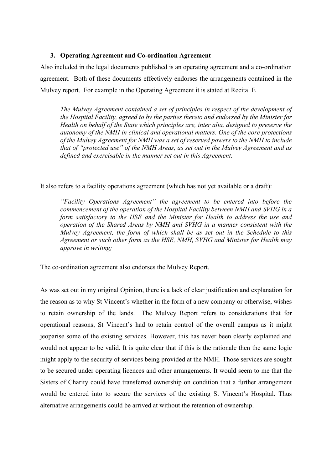### **3. Operating Agreement and Co-ordination Agreement**

Also included in the legal documents published is an operating agreement and a co-ordination agreement. Both of these documents effectively endorses the arrangements contained in the Mulvey report. For example in the Operating Agreement it is stated at Recital E

*The Mulvey Agreement contained a set of principles in respect of the development of the Hospital Facility, agreed to by the parties thereto and endorsed by the Minister for Health on behalf of the State which principles are, inter alia, designed to preserve the autonomy of the NMH in clinical and operational matters. One of the core protections of the Mulvey Agreement for NMH was a set of reserved powers to the NMH to include that of "protected use" of the NMH Areas, as set out in the Mulvey Agreement and as defined and exercisable in the manner set out in this Agreement.*

It also refers to a facility operations agreement (which has not yet available or a draft):

*"Facility Operations Agreement" the agreement to be entered into before the commencement of the operation of the Hospital Facility between NMH and SVHG in a form satisfactory to the HSE and the Minister for Health to address the use and operation of the Shared Areas by NMH and SVHG in a manner consistent with the Mulvey Agreement, the form of which shall be as set out in the Schedule to this Agreement or such other form as the HSE, NMH, SVHG and Minister for Health may approve in writing;*

The co-ordination agreement also endorses the Mulvey Report.

As was set out in my original Opinion, there is a lack of clear justification and explanation for the reason as to why St Vincent's whether in the form of a new company or otherwise, wishes to retain ownership of the lands. The Mulvey Report refers to considerations that for operational reasons, St Vincent's had to retain control of the overall campus as it might jeoparise some of the existing services. However, this has never been clearly explained and would not appear to be valid. It is quite clear that if this is the rationale then the same logic might apply to the security of services being provided at the NMH. Those services are sought to be secured under operating licences and other arrangements. It would seem to me that the Sisters of Charity could have transferred ownership on condition that a further arrangement would be entered into to secure the services of the existing St Vincent's Hospital. Thus alternative arrangements could be arrived at without the retention of ownership.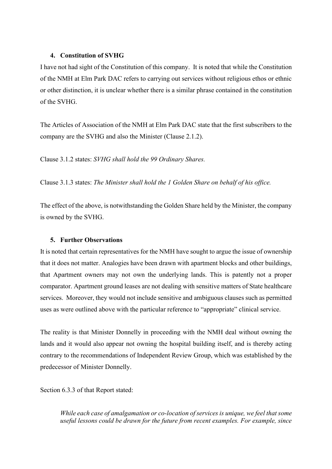#### **4. Constitution of SVHG**

I have not had sight of the Constitution of this company. It is noted that while the Constitution of the NMH at Elm Park DAC refers to carrying out services without religious ethos or ethnic or other distinction, it is unclear whether there is a similar phrase contained in the constitution of the SVHG.

The Articles of Association of the NMH at Elm Park DAC state that the first subscribers to the company are the SVHG and also the Minister (Clause 2.1.2).

Clause 3.1.2 states: *SVHG shall hold the 99 Ordinary Shares.*

Clause 3.1.3 states: *The Minister shall hold the 1 Golden Share on behalf of his office.*

The effect of the above, is notwithstanding the Golden Share held by the Minister, the company is owned by the SVHG.

#### **5. Further Observations**

It is noted that certain representatives for the NMH have sought to argue the issue of ownership that it does not matter. Analogies have been drawn with apartment blocks and other buildings, that Apartment owners may not own the underlying lands. This is patently not a proper comparator. Apartment ground leases are not dealing with sensitive matters of State healthcare services. Moreover, they would not include sensitive and ambiguous clauses such as permitted uses as were outlined above with the particular reference to "appropriate" clinical service.

The reality is that Minister Donnelly in proceeding with the NMH deal without owning the lands and it would also appear not owning the hospital building itself, and is thereby acting contrary to the recommendations of Independent Review Group, which was established by the predecessor of Minister Donnelly.

Section 6.3.3 of that Report stated:

*While each case of amalgamation or co-location of services is unique, we feel that some useful lessons could be drawn for the future from recent examples. For example, since*